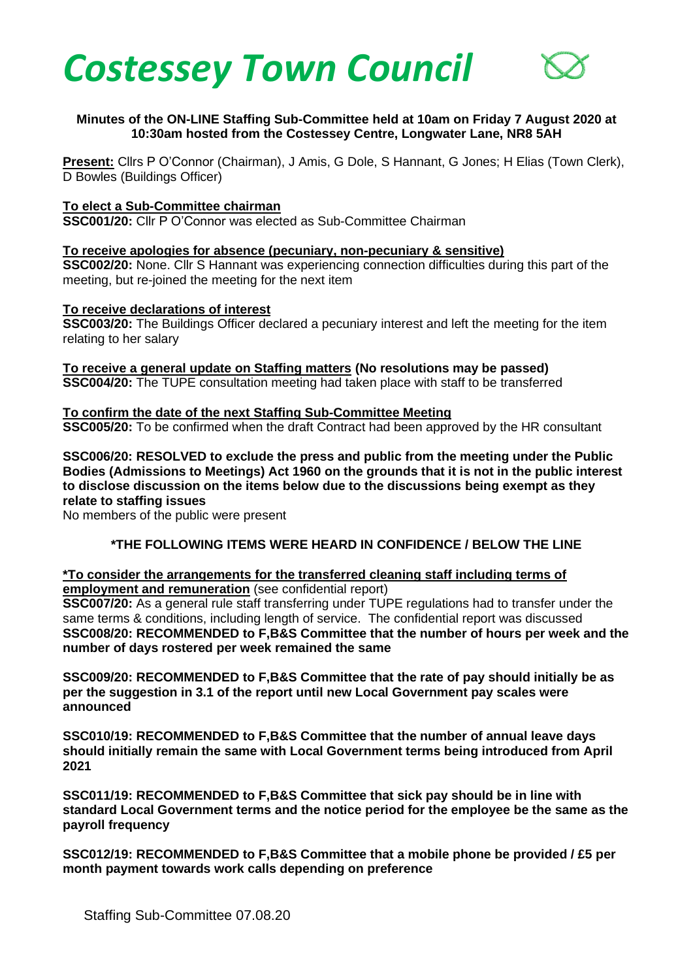

## **Minutes of the ON-LINE Staffing Sub-Committee held at 10am on Friday 7 August 2020 at 10:30am hosted from the Costessey Centre, Longwater Lane, NR8 5AH**

**Present:** Cllrs P O'Connor (Chairman), J Amis, G Dole, S Hannant, G Jones; H Elias (Town Clerk), D Bowles (Buildings Officer)

## **To elect a Sub-Committee chairman**

**SSC001/20:** Cllr P O'Connor was elected as Sub-Committee Chairman

## **To receive apologies for absence (pecuniary, non-pecuniary & sensitive)**

**SSC002/20:** None. Cllr S Hannant was experiencing connection difficulties during this part of the meeting, but re-joined the meeting for the next item

#### **To receive declarations of interest**

**SSC003/20:** The Buildings Officer declared a pecuniary interest and left the meeting for the item relating to her salary

**To receive a general update on Staffing matters (No resolutions may be passed) SSC004/20:** The TUPE consultation meeting had taken place with staff to be transferred

# **To confirm the date of the next Staffing Sub-Committee Meeting**

**SSC005/20:** To be confirmed when the draft Contract had been approved by the HR consultant

**SSC006/20: RESOLVED to exclude the press and public from the meeting under the Public Bodies (Admissions to Meetings) Act 1960 on the grounds that it is not in the public interest to disclose discussion on the items below due to the discussions being exempt as they relate to staffing issues**

No members of the public were present

# **\*THE FOLLOWING ITEMS WERE HEARD IN CONFIDENCE / BELOW THE LINE**

## **\*To consider the arrangements for the transferred cleaning staff including terms of employment and remuneration** (see confidential report)

**SSC007/20:** As a general rule staff transferring under TUPE regulations had to transfer under the same terms & conditions, including length of service. The confidential report was discussed **SSC008/20: RECOMMENDED to F,B&S Committee that the number of hours per week and the number of days rostered per week remained the same**

**SSC009/20: RECOMMENDED to F,B&S Committee that the rate of pay should initially be as per the suggestion in 3.1 of the report until new Local Government pay scales were announced**

**SSC010/19: RECOMMENDED to F,B&S Committee that the number of annual leave days should initially remain the same with Local Government terms being introduced from April 2021**

**SSC011/19: RECOMMENDED to F,B&S Committee that sick pay should be in line with standard Local Government terms and the notice period for the employee be the same as the payroll frequency**

**SSC012/19: RECOMMENDED to F,B&S Committee that a mobile phone be provided / £5 per month payment towards work calls depending on preference**